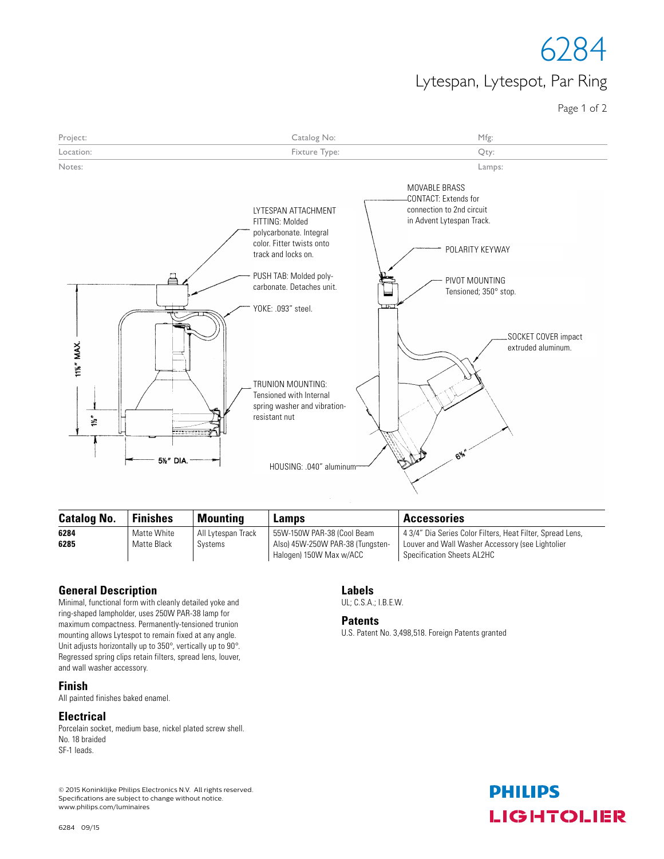## 6284

### Lytespan, Lytespot, Par Ring

Page 1 of 2



| <b>Catalog No.</b> | <b>Finishes</b>            | <b>Mounting</b>               | Lamps                                                                                     | <b>Accessories</b>                                                                                                                          |
|--------------------|----------------------------|-------------------------------|-------------------------------------------------------------------------------------------|---------------------------------------------------------------------------------------------------------------------------------------------|
| 6284<br>6285       | Matte White<br>Matte Black | All Lytespan Track<br>Systems | 55W-150W PAR-38 (Cool Beam<br>Also) 45W-250W PAR-38 (Tungsten-<br>Halogen) 150W Max w/ACC | 43/4" Dia Series Color Filters, Heat Filter, Spread Lens,<br>Louver and Wall Washer Accessory (see Lightolier<br>Specification Sheets AL2HC |

#### **General Description**

Minimal, functional form with cleanly detailed yoke and ring-shaped Iampholder, uses 250W PAR-38 lamp for maximum compactness. Permanently-tensioned trunion mounting allows Lytespot to remain fixed at any angle. Unit adjusts horizontally up to 350°, vertically up to 90°. Regressed spring clips retain filters, spread lens, louver, and wall washer accessory.

**Finish**  All painted finishes baked enamel.

#### **Electrical**

Porcelain socket, medium base, nickel plated screw shell. No. 18 braided SF-1 leads.

© 2015 Koninklijke Philips Electronics N.V. All rights reserved. Specifications are subject to change without notice. www.philips.com/luminaires

**Labels** UL; C.S.A.; I.B.E.W.

#### **Patents**

U.S. Patent No. 3,498,518. Foreign Patents granted